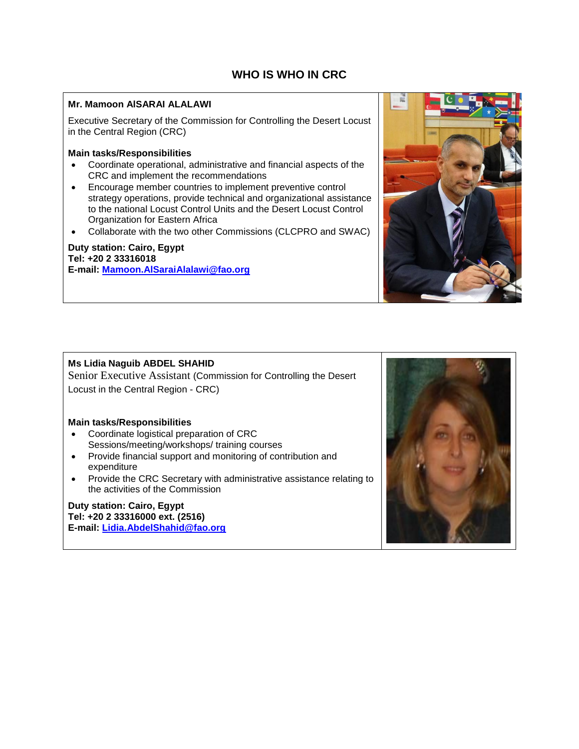## **WHO IS WHO IN CRC**

### **Mr. Mamoon AlSARAI ALALAWI**

Executive Secretary of the Commission for Controlling the Desert Locust in the Central Region (CRC)

### **Main tasks/Responsibilities**

- Coordinate operational, administrative and financial aspects of the CRC and implement the recommendations
- Encourage member countries to implement preventive control strategy operations, provide technical and organizational assistance to the national Locust Control Units and the Desert Locust Control Organization for Eastern Africa
- Collaborate with the two other Commissions (CLCPRO and SWAC)

# **Duty station: Cairo, Egypt Tel: +20 2 33316018**

**E-mail: [Mamoon.AlSaraiAlalawi@fao.org](mailto:Mamoon.AlSaraiAlalawi@fao.org)**



### **Ms Lidia Naguib ABDEL SHAHID**

Senior Executive Assistant (Commission for Controlling the Desert Locust in the Central Region - CRC)

### **Main tasks/Responsibilities**

- Coordinate logistical preparation of CRC Sessions/meeting/workshops/ training courses
- Provide financial support and monitoring of contribution and expenditure
- Provide the CRC Secretary with administrative assistance relating to the activities of the Commission

### **Duty station: Cairo, Egypt Tel: +20 2 33316000 ext. (2516) E-mail: [Lidia.AbdelShahid@fao.org](mailto:Lidia.AbdelShahid@fao.org)**